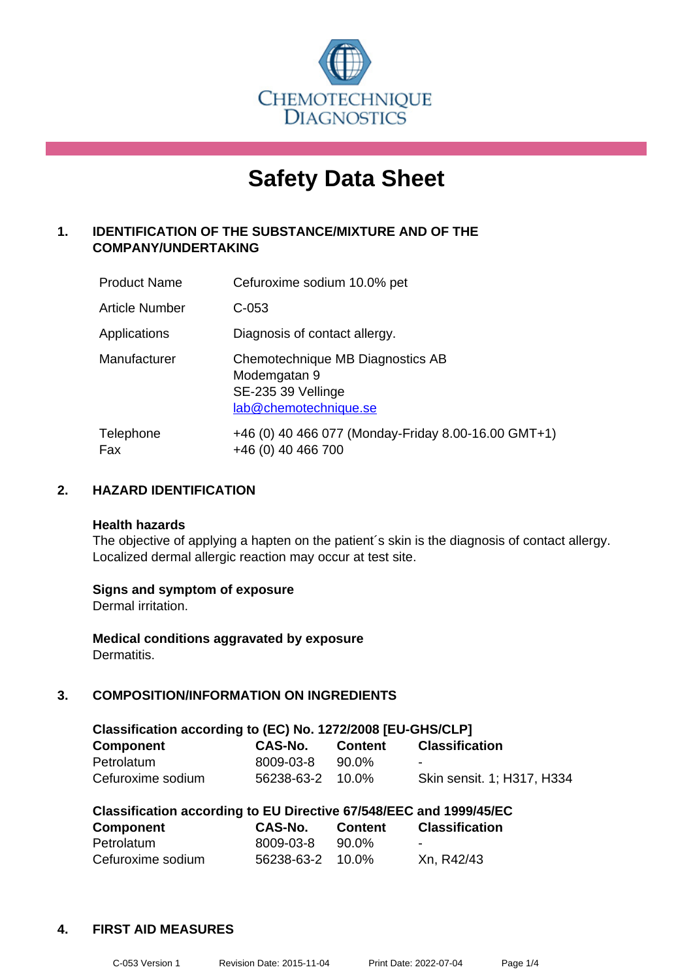

# **Safety Data Sheet**

## **1. IDENTIFICATION OF THE SUBSTANCE/MIXTURE AND OF THE COMPANY/UNDERTAKING**

| <b>Product Name</b> | Cefuroxime sodium 10.0% pet                                                                     |
|---------------------|-------------------------------------------------------------------------------------------------|
| Article Number      | $C-053$                                                                                         |
| Applications        | Diagnosis of contact allergy.                                                                   |
| Manufacturer        | Chemotechnique MB Diagnostics AB<br>Modemgatan 9<br>SE-235 39 Vellinge<br>lab@chemotechnique.se |
| Telephone<br>Fax    | +46 (0) 40 466 077 (Monday-Friday 8.00-16.00 GMT+1)<br>+46 (0) 40 466 700                       |

## **2. HAZARD IDENTIFICATION**

#### **Health hazards**

The objective of applying a hapten on the patient's skin is the diagnosis of contact allergy. Localized dermal allergic reaction may occur at test site.

## **Signs and symptom of exposure**

Dermal irritation.

**Medical conditions aggravated by exposure** Dermatitis.

## **3. COMPOSITION/INFORMATION ON INGREDIENTS**

| Classification according to (EC) No. 1272/2008 [EU-GHS/CLP] |                  |         |                            |  |  |  |
|-------------------------------------------------------------|------------------|---------|----------------------------|--|--|--|
| <b>Component</b>                                            | CAS-No.          | Content | <b>Classification</b>      |  |  |  |
| Petrolatum                                                  | 8009-03-8        | 90.0%   | -                          |  |  |  |
| Cefuroxime sodium                                           | 56238-63-2 10.0% |         | Skin sensit. 1; H317, H334 |  |  |  |

| Classification according to EU Directive 67/548/EEC and 1999/45/EC |                  |                |                       |  |  |  |
|--------------------------------------------------------------------|------------------|----------------|-----------------------|--|--|--|
| Component                                                          | CAS-No.          | <b>Content</b> | <b>Classification</b> |  |  |  |
| Petrolatum                                                         | 8009-03-8        | 90.0%          | -                     |  |  |  |
| Cefuroxime sodium                                                  | 56238-63-2 10.0% |                | Xn, R42/43            |  |  |  |

## **4. FIRST AID MEASURES**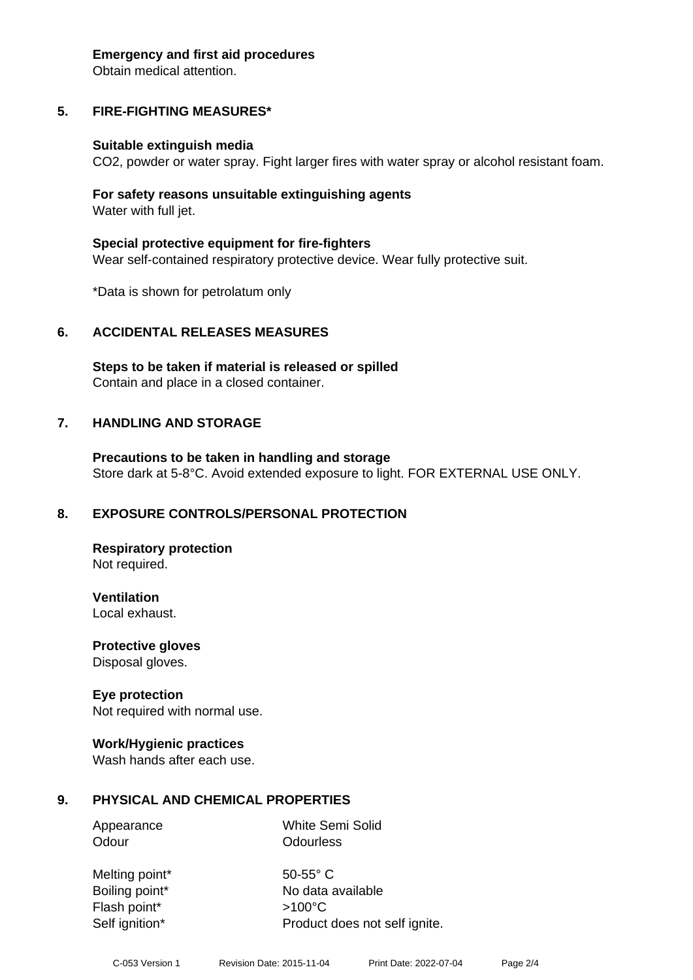#### **Emergency and first aid procedures**

Obtain medical attention.

## **5. FIRE-FIGHTING MEASURES\***

#### **Suitable extinguish media**

CO2, powder or water spray. Fight larger fires with water spray or alcohol resistant foam.

#### **For safety reasons unsuitable extinguishing agents** Water with full jet.

**Special protective equipment for fire-fighters** Wear self-contained respiratory protective device. Wear fully protective suit.

\*Data is shown for petrolatum only

## **6. ACCIDENTAL RELEASES MEASURES**

**Steps to be taken if material is released or spilled** Contain and place in a closed container.

## **7. HANDLING AND STORAGE**

**Precautions to be taken in handling and storage** Store dark at 5-8°C. Avoid extended exposure to light. FOR EXTERNAL USE ONLY.

## **8. EXPOSURE CONTROLS/PERSONAL PROTECTION**

**Respiratory protection** Not required.

**Ventilation**

Local exhaust.

**Protective gloves** Disposal gloves.

## **Eye protection**

Not required with normal use.

## **Work/Hygienic practices**

Wash hands after each use.

## **9. PHYSICAL AND CHEMICAL PROPERTIES**

Appearance White Semi Solid Odour **Odourless** 

Melting point\* 50-55° C Boiling point\* No data available Flash point\* >100°C Self ignition\* Product does not self ignite.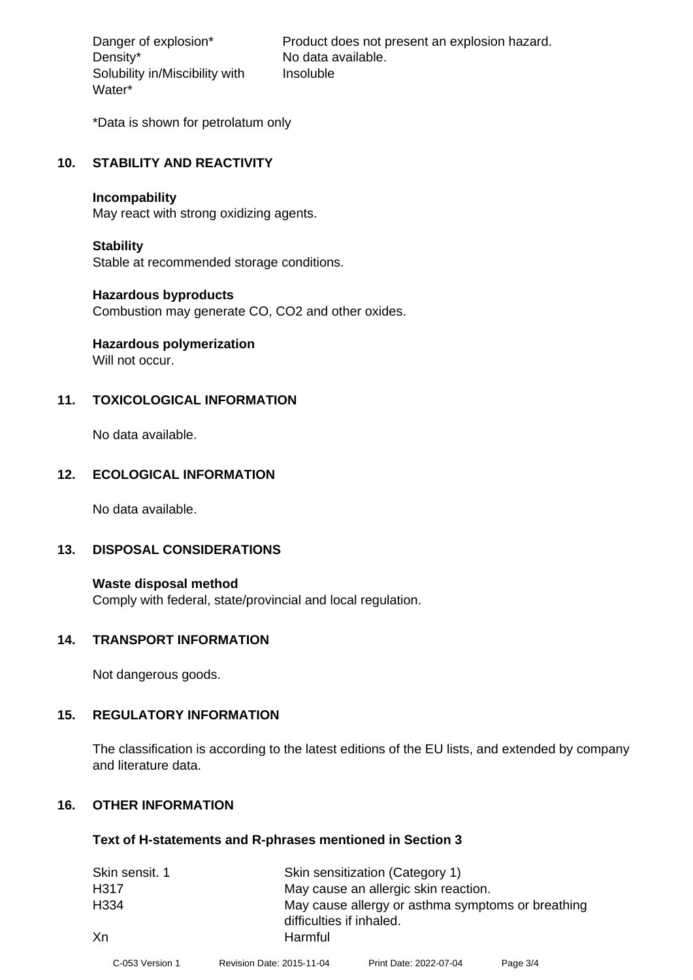Density\* No data available. Solubility in/Miscibility with Water\*

Danger of explosion\* Product does not present an explosion hazard. Insoluble

\*Data is shown for petrolatum only

#### **10. STABILITY AND REACTIVITY**

#### **Incompability**

May react with strong oxidizing agents.

#### **Stability**

Stable at recommended storage conditions.

#### **Hazardous byproducts**

Combustion may generate CO, CO2 and other oxides.

## **Hazardous polymerization**

Will not occur.

## **11. TOXICOLOGICAL INFORMATION**

No data available.

## **12. ECOLOGICAL INFORMATION**

No data available.

## **13. DISPOSAL CONSIDERATIONS**

**Waste disposal method** Comply with federal, state/provincial and local regulation.

#### **14. TRANSPORT INFORMATION**

Not dangerous goods.

## **15. REGULATORY INFORMATION**

The classification is according to the latest editions of the EU lists, and extended by company and literature data.

## **16. OTHER INFORMATION**

#### **Text of H-statements and R-phrases mentioned in Section 3**

| Skin sensit. 1   | Skin sensitization (Category 1) |                                                   |          |  |  |
|------------------|---------------------------------|---------------------------------------------------|----------|--|--|
| H317             |                                 | May cause an allergic skin reaction.              |          |  |  |
| H <sub>334</sub> |                                 | May cause allergy or asthma symptoms or breathing |          |  |  |
|                  | difficulties if inhaled.        |                                                   |          |  |  |
| Xn               | Harmful                         |                                                   |          |  |  |
| C-053 Version 1  | Revision Date: 2015-11-04       | Print Date: 2022-07-04                            | Page 3/4 |  |  |